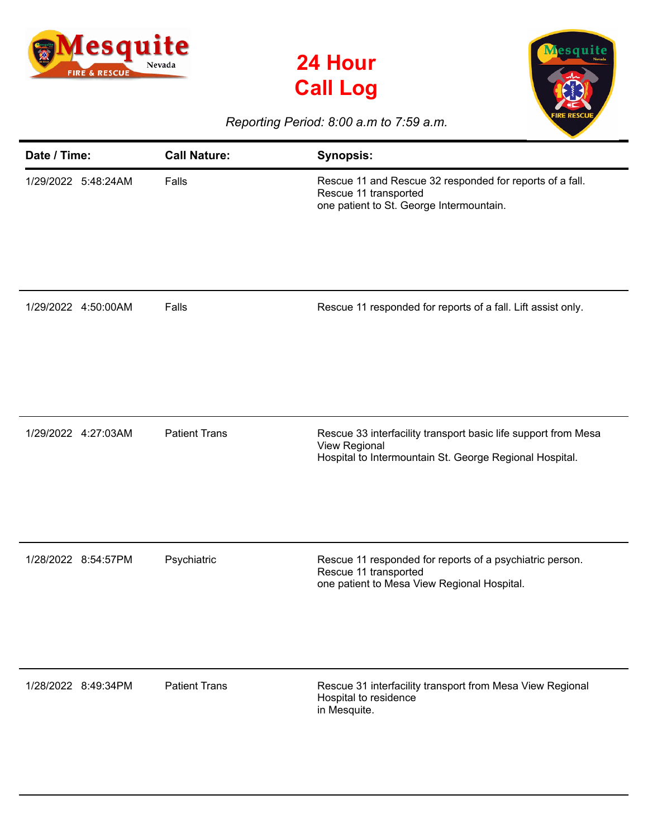





## *Reporting Period: 8:00 a.m to 7:59 a.m.*

| Date / Time:        | <b>Call Nature:</b>  | <b>Synopsis:</b>                                                                                                                           |
|---------------------|----------------------|--------------------------------------------------------------------------------------------------------------------------------------------|
| 1/29/2022 5:48:24AM | Falls                | Rescue 11 and Rescue 32 responded for reports of a fall.<br>Rescue 11 transported<br>one patient to St. George Intermountain.              |
| 1/29/2022 4:50:00AM | Falls                | Rescue 11 responded for reports of a fall. Lift assist only.                                                                               |
| 1/29/2022 4:27:03AM | <b>Patient Trans</b> | Rescue 33 interfacility transport basic life support from Mesa<br>View Regional<br>Hospital to Intermountain St. George Regional Hospital. |
| 1/28/2022 8:54:57PM | Psychiatric          | Rescue 11 responded for reports of a psychiatric person.<br>Rescue 11 transported<br>one patient to Mesa View Regional Hospital.           |
| 1/28/2022 8:49:34PM | <b>Patient Trans</b> | Rescue 31 interfacility transport from Mesa View Regional<br>Hospital to residence<br>in Mesquite.                                         |